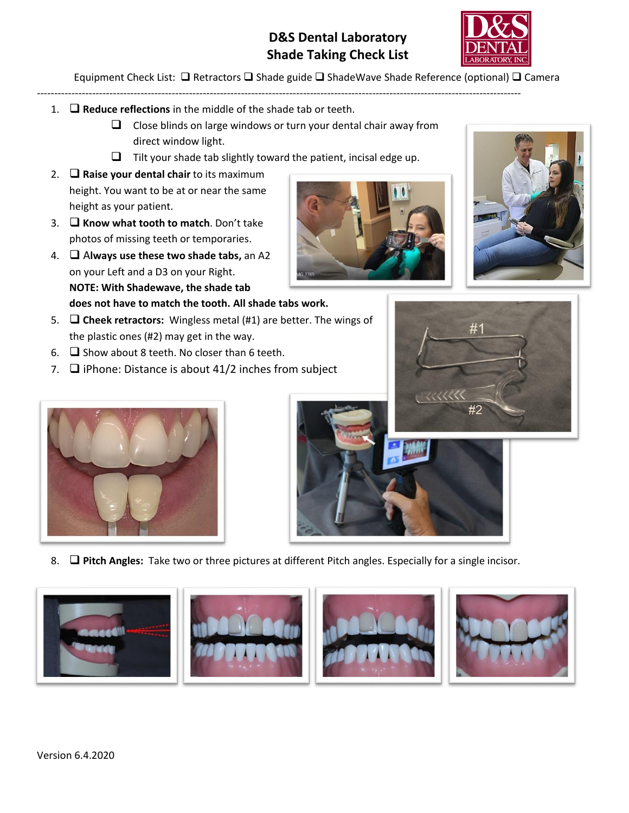## **D&S Dental Laboratory Shade Taking Check List**



Equipment Check List: ❑ Retractors ❑ Shade guide ❑ ShadeWave Shade Reference (optional) ❑ Camera

- 1. ❑ **Reduce reflections** in the middle of the shade tab or teeth.
	- $\Box$  Close blinds on large windows or turn your dental chair away from direct window light.

--------------------------------------------------------------------------------------------------------------------------------------------

- $\Box$  Tilt your shade tab slightly toward the patient, incisal edge up.
- 2. ❑ **Raise your dental chair** to its maximum height. You want to be at or near the same height as your patient.
- 3. ❑ **Know what tooth to match**. Don't take photos of missing teeth or temporaries.
- 4. ❑ A**lways use these two shade tabs,** an A2 on your Left and a D3 on your Right. **NOTE: With Shadewave, the shade tab does not have to match the tooth. All shade tabs work.**
- 5. ❑ **Cheek retractors:** Wingless metal (#1) are better. The wings of the plastic ones (#2) may get in the way.
- 6. ❑ Show about 8 teeth. No closer than 6 teeth.
- 7. ❑ iPhone: Distance is about 41/2 inches from subject





#1





8. ❑ **Pitch Angles:** Take two or three pictures at different Pitch angles. Especially for a single incisor.